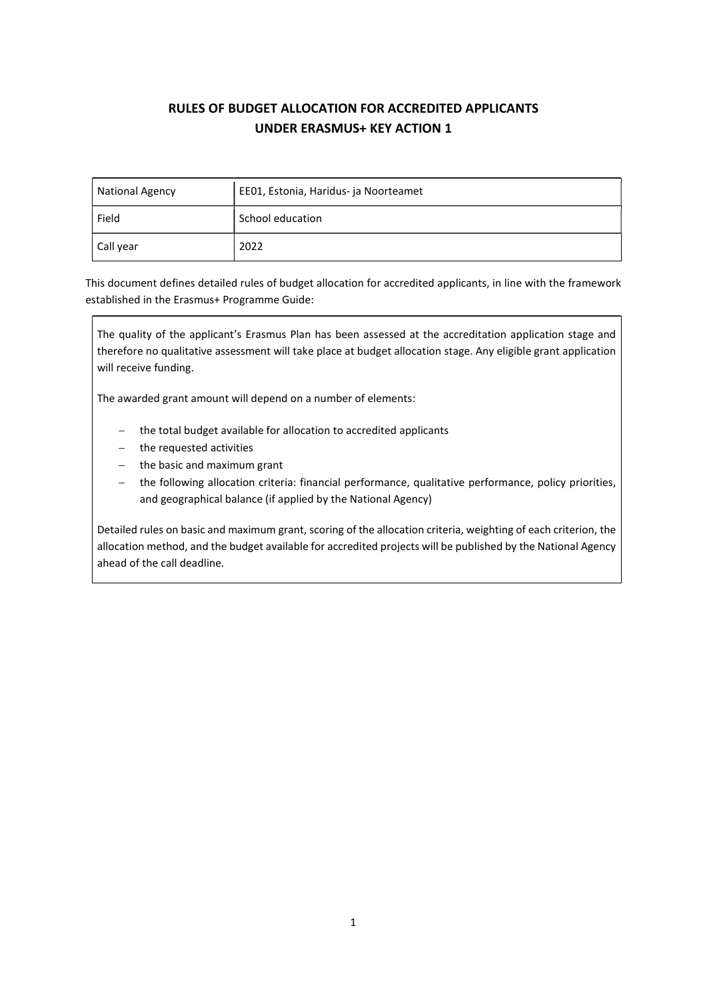# RULES OF BUDGET ALLOCATION FOR ACCREDITED APPLICANTS UNDER ERASMUS+ KEY ACTION 1

| <b>National Agency</b> | EE01, Estonia, Haridus- ja Noorteamet |
|------------------------|---------------------------------------|
| Field                  | School education                      |
| Call year              | 2022                                  |

This document defines detailed rules of budget allocation for accredited applicants, in line with the framework established in the Erasmus+ Programme Guide:

The quality of the applicant's Erasmus Plan has been assessed at the accreditation application stage and therefore no qualitative assessment will take place at budget allocation stage. Any eligible grant application will receive funding.

The awarded grant amount will depend on a number of elements:

- the total budget available for allocation to accredited applicants
- the requested activities
- $-$  the basic and maximum grant
- the following allocation criteria: financial performance, qualitative performance, policy priorities, and geographical balance (if applied by the National Agency)

Detailed rules on basic and maximum grant, scoring of the allocation criteria, weighting of each criterion, the allocation method, and the budget available for accredited projects will be published by the National Agency ahead of the call deadline.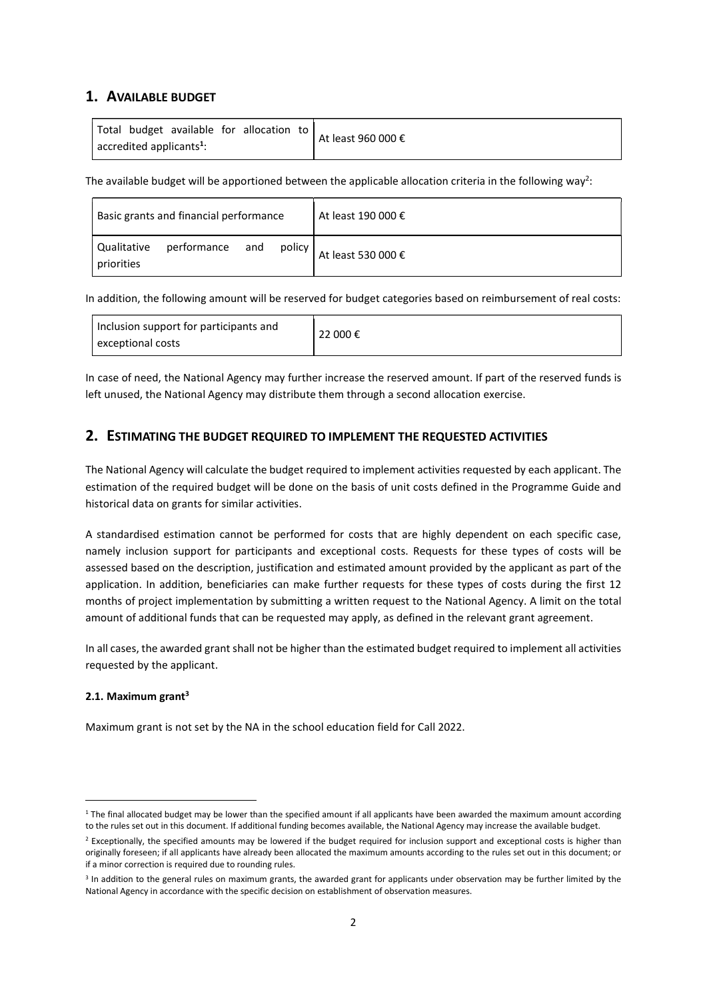### 1. AVAILABLE BUDGET

The available budget will be apportioned between the applicable allocation criteria in the following way<sup>2</sup>:

| Basic grants and financial performance                   | At least 190 000 € |
|----------------------------------------------------------|--------------------|
| performance and<br>Qualitative<br>policy  <br>priorities | At least 530 000 € |

In addition, the following amount will be reserved for budget categories based on reimbursement of real costs:

|--|

In case of need, the National Agency may further increase the reserved amount. If part of the reserved funds is left unused, the National Agency may distribute them through a second allocation exercise.

# 2. ESTIMATING THE BUDGET REQUIRED TO IMPLEMENT THE REQUESTED ACTIVITIES

The National Agency will calculate the budget required to implement activities requested by each applicant. The estimation of the required budget will be done on the basis of unit costs defined in the Programme Guide and historical data on grants for similar activities.

A standardised estimation cannot be performed for costs that are highly dependent on each specific case, namely inclusion support for participants and exceptional costs. Requests for these types of costs will be assessed based on the description, justification and estimated amount provided by the applicant as part of the application. In addition, beneficiaries can make further requests for these types of costs during the first 12 months of project implementation by submitting a written request to the National Agency. A limit on the total amount of additional funds that can be requested may apply, as defined in the relevant grant agreement.

In all cases, the awarded grant shall not be higher than the estimated budget required to implement all activities requested by the applicant.

#### 2.1. Maximum grant $3$

Maximum grant is not set by the NA in the school education field for Call 2022.

<sup>&</sup>lt;sup>1</sup> The final allocated budget may be lower than the specified amount if all applicants have been awarded the maximum amount according to the rules set out in this document. If additional funding becomes available, the National Agency may increase the available budget.

<sup>&</sup>lt;sup>2</sup> Exceptionally, the specified amounts may be lowered if the budget required for inclusion support and exceptional costs is higher than originally foreseen; if all applicants have already been allocated the maximum amounts according to the rules set out in this document; or if a minor correction is required due to rounding rules.

<sup>&</sup>lt;sup>3</sup> In addition to the general rules on maximum grants, the awarded grant for applicants under observation may be further limited by the National Agency in accordance with the specific decision on establishment of observation measures.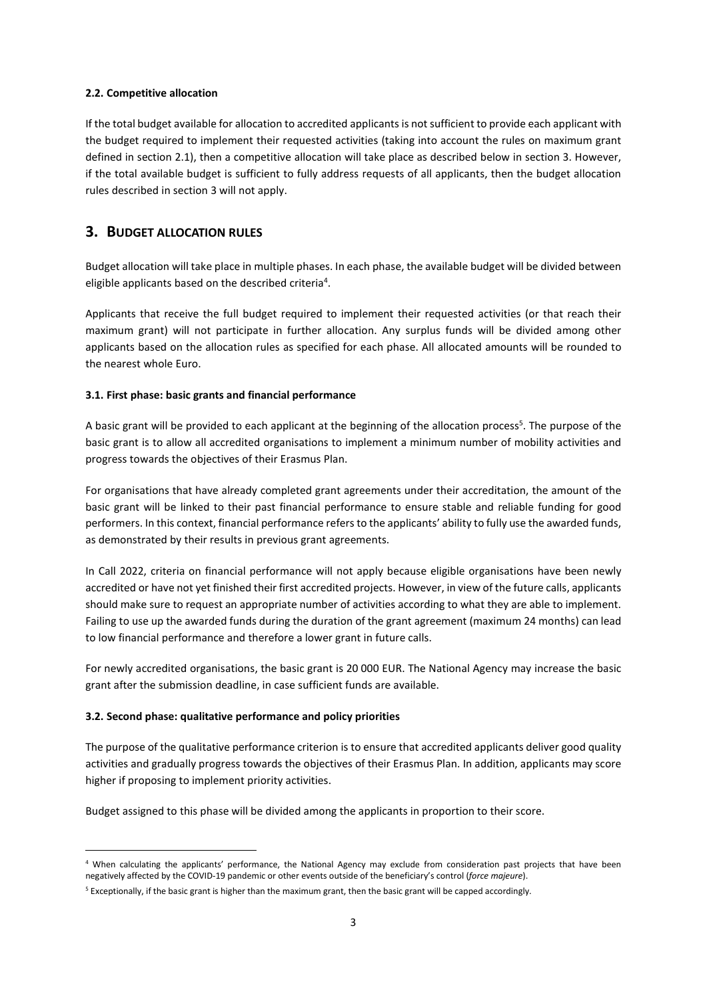#### 2.2. Competitive allocation

If the total budget available for allocation to accredited applicants is not sufficient to provide each applicant with the budget required to implement their requested activities (taking into account the rules on maximum grant defined in section 2.1), then a competitive allocation will take place as described below in section 3. However, if the total available budget is sufficient to fully address requests of all applicants, then the budget allocation rules described in section 3 will not apply.

### 3. BUDGET ALLOCATION RULES

Budget allocation will take place in multiple phases. In each phase, the available budget will be divided between eligible applicants based on the described criteria<sup>4</sup>.

Applicants that receive the full budget required to implement their requested activities (or that reach their maximum grant) will not participate in further allocation. Any surplus funds will be divided among other applicants based on the allocation rules as specified for each phase. All allocated amounts will be rounded to the nearest whole Euro.

#### 3.1. First phase: basic grants and financial performance

A basic grant will be provided to each applicant at the beginning of the allocation process<sup>5</sup>. The purpose of the basic grant is to allow all accredited organisations to implement a minimum number of mobility activities and progress towards the objectives of their Erasmus Plan.

For organisations that have already completed grant agreements under their accreditation, the amount of the basic grant will be linked to their past financial performance to ensure stable and reliable funding for good performers. In this context, financial performance refers to the applicants' ability to fully use the awarded funds, as demonstrated by their results in previous grant agreements.

In Call 2022, criteria on financial performance will not apply because eligible organisations have been newly accredited or have not yet finished their first accredited projects. However, in view of the future calls, applicants should make sure to request an appropriate number of activities according to what they are able to implement. Failing to use up the awarded funds during the duration of the grant agreement (maximum 24 months) can lead to low financial performance and therefore a lower grant in future calls.

For newly accredited organisations, the basic grant is 20 000 EUR. The National Agency may increase the basic grant after the submission deadline, in case sufficient funds are available.

#### 3.2. Second phase: qualitative performance and policy priorities

The purpose of the qualitative performance criterion is to ensure that accredited applicants deliver good quality activities and gradually progress towards the objectives of their Erasmus Plan. In addition, applicants may score higher if proposing to implement priority activities.

Budget assigned to this phase will be divided among the applicants in proportion to their score.

<sup>4</sup> When calculating the applicants' performance, the National Agency may exclude from consideration past projects that have been negatively affected by the COVID-19 pandemic or other events outside of the beneficiary's control (force majeure).

<sup>&</sup>lt;sup>5</sup> Exceptionally, if the basic grant is higher than the maximum grant, then the basic grant will be capped accordingly.